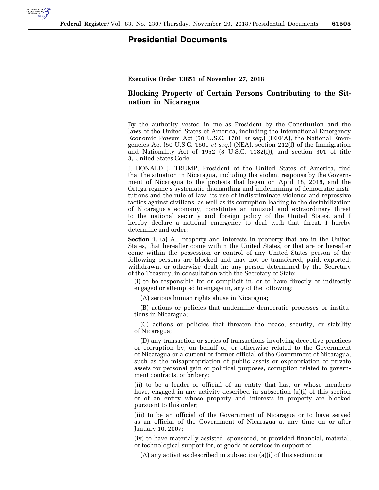

## **Presidential Documents**

**Executive Order 13851 of November 27, 2018** 

## **Blocking Property of Certain Persons Contributing to the Situation in Nicaragua**

By the authority vested in me as President by the Constitution and the laws of the United States of America, including the International Emergency Economic Powers Act (50 U.S.C. 1701 *et seq.*) (IEEPA), the National Emergencies Act (50 U.S.C. 1601 *et seq.*) (NEA), section 212(f) of the Immigration and Nationality Act of 1952 (8 U.S.C. 1182(f)), and section 301 of title 3, United States Code,

I, DONALD J. TRUMP, President of the United States of America, find that the situation in Nicaragua, including the violent response by the Government of Nicaragua to the protests that began on April 18, 2018, and the Ortega regime's systematic dismantling and undermining of democratic institutions and the rule of law, its use of indiscriminate violence and repressive tactics against civilians, as well as its corruption leading to the destabilization of Nicaragua's economy, constitutes an unusual and extraordinary threat to the national security and foreign policy of the United States, and I hereby declare a national emergency to deal with that threat. I hereby determine and order:

**Section 1**. (a) All property and interests in property that are in the United States, that hereafter come within the United States, or that are or hereafter come within the possession or control of any United States person of the following persons are blocked and may not be transferred, paid, exported, withdrawn, or otherwise dealt in: any person determined by the Secretary of the Treasury, in consultation with the Secretary of State:

(i) to be responsible for or complicit in, or to have directly or indirectly engaged or attempted to engage in, any of the following:

(A) serious human rights abuse in Nicaragua;

(B) actions or policies that undermine democratic processes or institutions in Nicaragua;

(C) actions or policies that threaten the peace, security, or stability of Nicaragua;

(D) any transaction or series of transactions involving deceptive practices or corruption by, on behalf of, or otherwise related to the Government of Nicaragua or a current or former official of the Government of Nicaragua, such as the misappropriation of public assets or expropriation of private assets for personal gain or political purposes, corruption related to government contracts, or bribery;

(ii) to be a leader or official of an entity that has, or whose members have, engaged in any activity described in subsection (a)(i) of this section or of an entity whose property and interests in property are blocked pursuant to this order;

(iii) to be an official of the Government of Nicaragua or to have served as an official of the Government of Nicaragua at any time on or after January 10, 2007;

(iv) to have materially assisted, sponsored, or provided financial, material, or technological support for, or goods or services in support of:

(A) any activities described in subsection (a)(i) of this section; or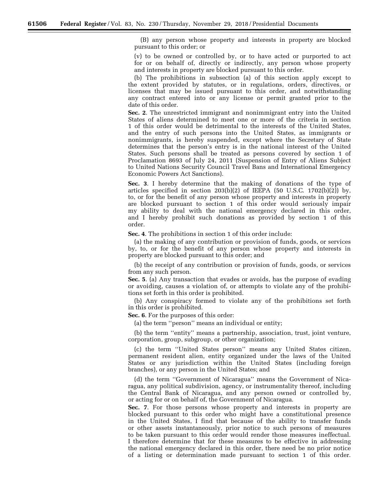(B) any person whose property and interests in property are blocked pursuant to this order; or

(v) to be owned or controlled by, or to have acted or purported to act for or on behalf of, directly or indirectly, any person whose property and interests in property are blocked pursuant to this order.

(b) The prohibitions in subsection (a) of this section apply except to the extent provided by statutes, or in regulations, orders, directives, or licenses that may be issued pursuant to this order, and notwithstanding any contract entered into or any license or permit granted prior to the date of this order.

**Sec. 2**. The unrestricted immigrant and nonimmigrant entry into the United States of aliens determined to meet one or more of the criteria in section 1 of this order would be detrimental to the interests of the United States, and the entry of such persons into the United States, as immigrants or nonimmigrants, is hereby suspended, except where the Secretary of State determines that the person's entry is in the national interest of the United States. Such persons shall be treated as persons covered by section 1 of Proclamation 8693 of July 24, 2011 (Suspension of Entry of Aliens Subject to United Nations Security Council Travel Bans and International Emergency Economic Powers Act Sanctions).

**Sec. 3**. I hereby determine that the making of donations of the type of articles specified in section  $203(b)(2)$  of IEEPA (50 U.S.C. 1702(b)(2)) by, to, or for the benefit of any person whose property and interests in property are blocked pursuant to section 1 of this order would seriously impair my ability to deal with the national emergency declared in this order, and I hereby prohibit such donations as provided by section 1 of this order.

**Sec. 4**. The prohibitions in section 1 of this order include:

(a) the making of any contribution or provision of funds, goods, or services by, to, or for the benefit of any person whose property and interests in property are blocked pursuant to this order; and

(b) the receipt of any contribution or provision of funds, goods, or services from any such person.

**Sec. 5**. (a) Any transaction that evades or avoids, has the purpose of evading or avoiding, causes a violation of, or attempts to violate any of the prohibitions set forth in this order is prohibited.

(b) Any conspiracy formed to violate any of the prohibitions set forth in this order is prohibited.

**Sec. 6**. For the purposes of this order:

(a) the term ''person'' means an individual or entity;

(b) the term ''entity'' means a partnership, association, trust, joint venture, corporation, group, subgroup, or other organization;

(c) the term ''United States person'' means any United States citizen, permanent resident alien, entity organized under the laws of the United States or any jurisdiction within the United States (including foreign branches), or any person in the United States; and

(d) the term ''Government of Nicaragua'' means the Government of Nicaragua, any political subdivision, agency, or instrumentality thereof, including the Central Bank of Nicaragua, and any person owned or controlled by, or acting for or on behalf of, the Government of Nicaragua.

**Sec. 7**. For those persons whose property and interests in property are blocked pursuant to this order who might have a constitutional presence in the United States, I find that because of the ability to transfer funds or other assets instantaneously, prior notice to such persons of measures to be taken pursuant to this order would render those measures ineffectual. I therefore determine that for these measures to be effective in addressing the national emergency declared in this order, there need be no prior notice of a listing or determination made pursuant to section 1 of this order.